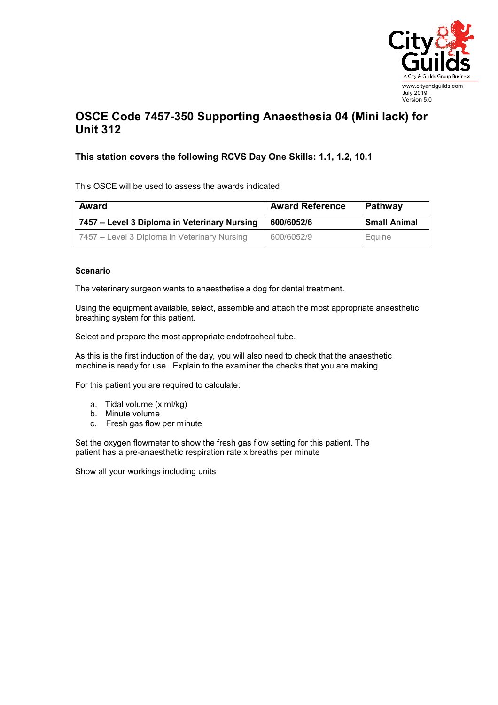

## **OSCE Code 7457-350 Supporting Anaesthesia 04 (Mini lack) for Unit 312**

## **This station covers the following RCVS Day One Skills: 1.1, 1.2, 10.1**

This OSCE will be used to assess the awards indicated

| Award                                        | <b>Award Reference</b> | Pathway             |
|----------------------------------------------|------------------------|---------------------|
| 7457 – Level 3 Diploma in Veterinary Nursing | 600/6052/6             | <b>Small Animal</b> |
| 7457 – Level 3 Diploma in Veterinary Nursing | 600/6052/9             | Equine              |

## **Scenario**

The veterinary surgeon wants to anaesthetise a dog for dental treatment.

Using the equipment available, select, assemble and attach the most appropriate anaesthetic breathing system for this patient.

Select and prepare the most appropriate endotracheal tube.

As this is the first induction of the day, you will also need to check that the anaesthetic machine is ready for use. Explain to the examiner the checks that you are making.

For this patient you are required to calculate:

- a. Tidal volume (x ml/kg)
- b. Minute volume
- c. Fresh gas flow per minute

Set the oxygen flowmeter to show the fresh gas flow setting for this patient. The patient has a pre-anaesthetic respiration rate x breaths per minute

Show all your workings including units